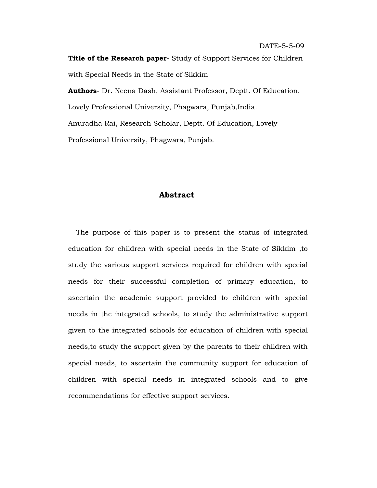DATE-5-5-09

**Authors**- Dr. Neena Dash, Assistant Professor, Deptt. Of Education, Lovely Professional University, Phagwara, Punjab,India. Anuradha Rai, Research Scholar, Deptt. Of Education, Lovely Professional University, Phagwara, Punjab.

# **Abstract**

 The purpose of this paper is to present the status of integrated education for children with special needs in the State of Sikkim ,to study the various support services required for children with special needs for their successful completion of primary education, to ascertain the academic support provided to children with special needs in the integrated schools, to study the administrative support given to the integrated schools for education of children with special needs,to study the support given by the parents to their children with special needs, to ascertain the community support for education of children with special needs in integrated schools and to give recommendations for effective support services.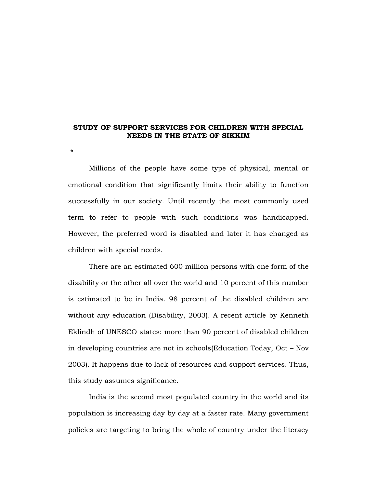### **STUDY OF SUPPORT SERVICES FOR CHILDREN WITH SPECIAL NEEDS IN THE STATE OF SIKKIM**

\*

Millions of the people have some type of physical, mental or emotional condition that significantly limits their ability to function successfully in our society. Until recently the most commonly used term to refer to people with such conditions was handicapped. However, the preferred word is disabled and later it has changed as children with special needs.

There are an estimated 600 million persons with one form of the disability or the other all over the world and 10 percent of this number is estimated to be in India. 98 percent of the disabled children are without any education (Disability, 2003). A recent article by Kenneth Eklindh of UNESCO states: more than 90 percent of disabled children in developing countries are not in schools(Education Today, Oct – Nov 2003). It happens due to lack of resources and support services. Thus, this study assumes significance.

India is the second most populated country in the world and its population is increasing day by day at a faster rate. Many government policies are targeting to bring the whole of country under the literacy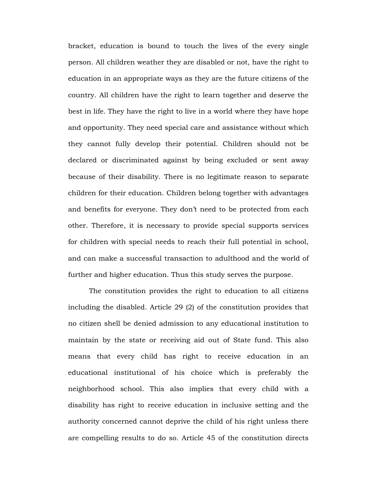bracket, education is bound to touch the lives of the every single person. All children weather they are disabled or not, have the right to education in an appropriate ways as they are the future citizens of the country. All children have the right to learn together and deserve the best in life. They have the right to live in a world where they have hope and opportunity. They need special care and assistance without which they cannot fully develop their potential. Children should not be declared or discriminated against by being excluded or sent away because of their disability. There is no legitimate reason to separate children for their education. Children belong together with advantages and benefits for everyone. They don't need to be protected from each other. Therefore, it is necessary to provide special supports services for children with special needs to reach their full potential in school, and can make a successful transaction to adulthood and the world of further and higher education. Thus this study serves the purpose.

The constitution provides the right to education to all citizens including the disabled. Article 29 (2) of the constitution provides that no citizen shell be denied admission to any educational institution to maintain by the state or receiving aid out of State fund. This also means that every child has right to receive education in an educational institutional of his choice which is preferably the neighborhood school. This also implies that every child with a disability has right to receive education in inclusive setting and the authority concerned cannot deprive the child of his right unless there are compelling results to do so. Article 45 of the constitution directs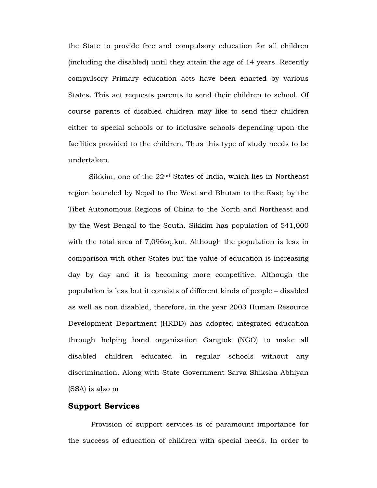the State to provide free and compulsory education for all children (including the disabled) until they attain the age of 14 years. Recently compulsory Primary education acts have been enacted by various States. This act requests parents to send their children to school. Of course parents of disabled children may like to send their children either to special schools or to inclusive schools depending upon the facilities provided to the children. Thus this type of study needs to be undertaken.

Sikkim, one of the 22nd States of India, which lies in Northeast region bounded by Nepal to the West and Bhutan to the East; by the Tibet Autonomous Regions of China to the North and Northeast and by the West Bengal to the South. Sikkim has population of 541,000 with the total area of 7,096sq.km. Although the population is less in comparison with other States but the value of education is increasing day by day and it is becoming more competitive. Although the population is less but it consists of different kinds of people – disabled as well as non disabled, therefore, in the year 2003 Human Resource Development Department (HRDD) has adopted integrated education through helping hand organization Gangtok (NGO) to make all disabled children educated in regular schools without any discrimination. Along with State Government Sarva Shiksha Abhiyan (SSA) is also m

### **Support Services**

 Provision of support services is of paramount importance for the success of education of children with special needs. In order to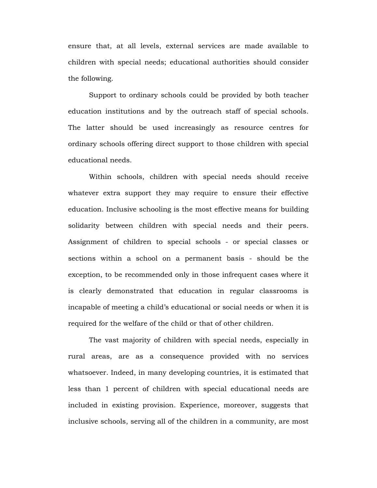ensure that, at all levels, external services are made available to children with special needs; educational authorities should consider the following.

Support to ordinary schools could be provided by both teacher education institutions and by the outreach staff of special schools. The latter should be used increasingly as resource centres for ordinary schools offering direct support to those children with special educational needs.

Within schools, children with special needs should receive whatever extra support they may require to ensure their effective education. Inclusive schooling is the most effective means for building solidarity between children with special needs and their peers. Assignment of children to special schools - or special classes or sections within a school on a permanent basis - should be the exception, to be recommended only in those infrequent cases where it is clearly demonstrated that education in regular classrooms is incapable of meeting a child's educational or social needs or when it is required for the welfare of the child or that of other children.

The vast majority of children with special needs, especially in rural areas, are as a consequence provided with no services whatsoever. Indeed, in many developing countries, it is estimated that less than 1 percent of children with special educational needs are included in existing provision. Experience, moreover, suggests that inclusive schools, serving all of the children in a community, are most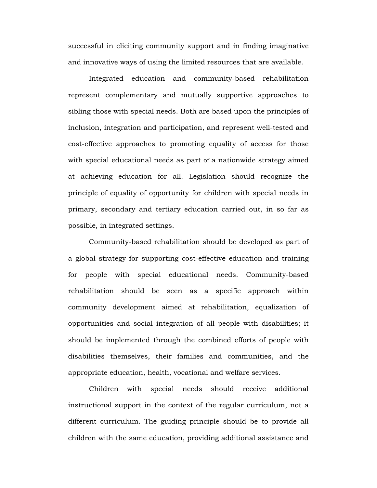successful in eliciting community support and in finding imaginative and innovative ways of using the limited resources that are available.

Integrated education and community-based rehabilitation represent complementary and mutually supportive approaches to sibling those with special needs. Both are based upon the principles of inclusion, integration and participation, and represent well-tested and cost-effective approaches to promoting equality of access for those with special educational needs as part of a nationwide strategy aimed at achieving education for all. Legislation should recognize the principle of equality of opportunity for children with special needs in primary, secondary and tertiary education carried out, in so far as possible, in integrated settings.

Community-based rehabilitation should be developed as part of a global strategy for supporting cost-effective education and training for people with special educational needs. Community-based rehabilitation should be seen as a specific approach within community development aimed at rehabilitation, equalization of opportunities and social integration of all people with disabilities; it should be implemented through the combined efforts of people with disabilities themselves, their families and communities, and the appropriate education, health, vocational and welfare services.

Children with special needs should receive additional instructional support in the context of the regular curriculum, not a different curriculum. The guiding principle should be to provide all children with the same education, providing additional assistance and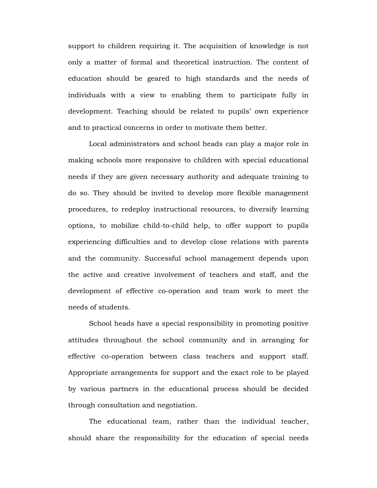support to children requiring it. The acquisition of knowledge is not only a matter of formal and theoretical instruction. The content of education should be geared to high standards and the needs of individuals with a view to enabling them to participate fully in development. Teaching should be related to pupils' own experience and to practical concerns in order to motivate them better.

Local administrators and school heads can play a major role in making schools more responsive to children with special educational needs if they are given necessary authority and adequate training to do so. They should be invited to develop more flexible management procedures, to redeploy instructional resources, to diversify learning options, to mobilize child-to-child help, to offer support to pupils experiencing difficulties and to develop close relations with parents and the community. Successful school management depends upon the active and creative involvement of teachers and staff, and the development of effective co-operation and team work to meet the needs of students.

School heads have a special responsibility in promoting positive attitudes throughout the school community and in arranging for effective co-operation between class teachers and support staff. Appropriate arrangements for support and the exact role to be played by various partners in the educational process should be decided through consultation and negotiation.

The educational team, rather than the individual teacher, should share the responsibility for the education of special needs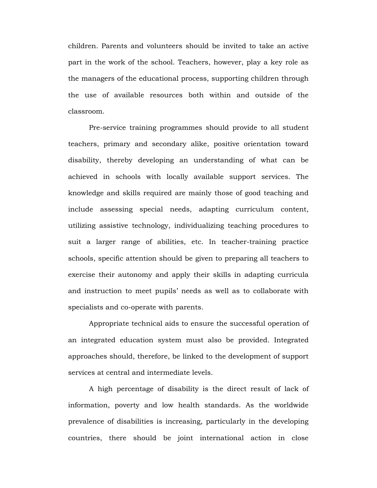children. Parents and volunteers should be invited to take an active part in the work of the school. Teachers, however, play a key role as the managers of the educational process, supporting children through the use of available resources both within and outside of the classroom.

Pre-service training programmes should provide to all student teachers, primary and secondary alike, positive orientation toward disability, thereby developing an understanding of what can be achieved in schools with locally available support services. The knowledge and skills required are mainly those of good teaching and include assessing special needs, adapting curriculum content, utilizing assistive technology, individualizing teaching procedures to suit a larger range of abilities, etc. In teacher-training practice schools, specific attention should be given to preparing all teachers to exercise their autonomy and apply their skills in adapting curricula and instruction to meet pupils' needs as well as to collaborate with specialists and co-operate with parents.

Appropriate technical aids to ensure the successful operation of an integrated education system must also be provided. Integrated approaches should, therefore, be linked to the development of support services at central and intermediate levels.

A high percentage of disability is the direct result of lack of information, poverty and low health standards. As the worldwide prevalence of disabilities is increasing, particularly in the developing countries, there should be joint international action in close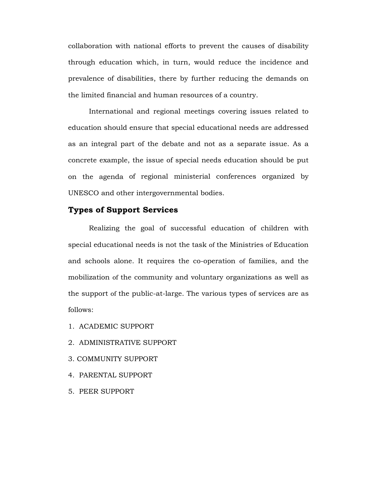collaboration with national efforts to prevent the causes of disability through education which, in turn, would reduce the incidence and prevalence of disabilities, there by further reducing the demands on the limited financial and human resources of a country.

International and regional meetings covering issues related to education should ensure that special educational needs are addressed as an integral part of the debate and not as a separate issue. As a concrete example, the issue of special needs education should be put on the agenda of regional ministerial conferences organized by UNESCO and other intergovernmental bodies.

# **Types of Support Services**

Realizing the goal of successful education of children with special educational needs is not the task of the Ministries of Education and schools alone. It requires the co-operation of families, and the mobilization of the community and voluntary organizations as well as the support of the public-at-large. The various types of services are as follows:

- 1. ACADEMIC SUPPORT
- 2. ADMINISTRATIVE SUPPORT
- 3. COMMUNITY SUPPORT
- 4. PARENTAL SUPPORT
- 5. PEER SUPPORT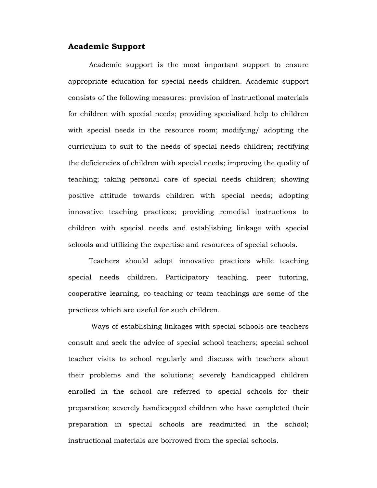# **Academic Support**

Academic support is the most important support to ensure appropriate education for special needs children. Academic support consists of the following measures: provision of instructional materials for children with special needs; providing specialized help to children with special needs in the resource room; modifying/ adopting the curriculum to suit to the needs of special needs children; rectifying the deficiencies of children with special needs; improving the quality of teaching; taking personal care of special needs children; showing positive attitude towards children with special needs; adopting innovative teaching practices; providing remedial instructions to children with special needs and establishing linkage with special schools and utilizing the expertise and resources of special schools.

Teachers should adopt innovative practices while teaching special needs children. Participatory teaching, peer tutoring, cooperative learning, co-teaching or team teachings are some of the practices which are useful for such children.

 Ways of establishing linkages with special schools are teachers consult and seek the advice of special school teachers; special school teacher visits to school regularly and discuss with teachers about their problems and the solutions; severely handicapped children enrolled in the school are referred to special schools for their preparation; severely handicapped children who have completed their preparation in special schools are readmitted in the school; instructional materials are borrowed from the special schools.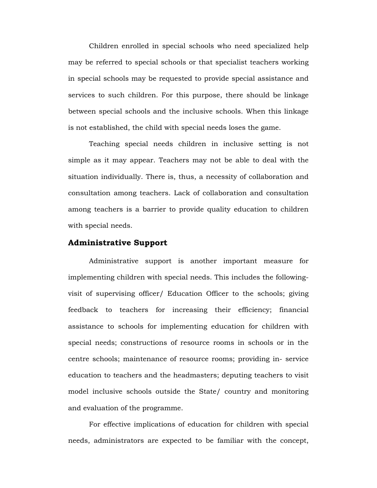Children enrolled in special schools who need specialized help may be referred to special schools or that specialist teachers working in special schools may be requested to provide special assistance and services to such children. For this purpose, there should be linkage between special schools and the inclusive schools. When this linkage is not established, the child with special needs loses the game.

Teaching special needs children in inclusive setting is not simple as it may appear. Teachers may not be able to deal with the situation individually. There is, thus, a necessity of collaboration and consultation among teachers. Lack of collaboration and consultation among teachers is a barrier to provide quality education to children with special needs.

### **Administrative Support**

Administrative support is another important measure for implementing children with special needs. This includes the followingvisit of supervising officer/ Education Officer to the schools; giving feedback to teachers for increasing their efficiency; financial assistance to schools for implementing education for children with special needs; constructions of resource rooms in schools or in the centre schools; maintenance of resource rooms; providing in- service education to teachers and the headmasters; deputing teachers to visit model inclusive schools outside the State/ country and monitoring and evaluation of the programme.

For effective implications of education for children with special needs, administrators are expected to be familiar with the concept,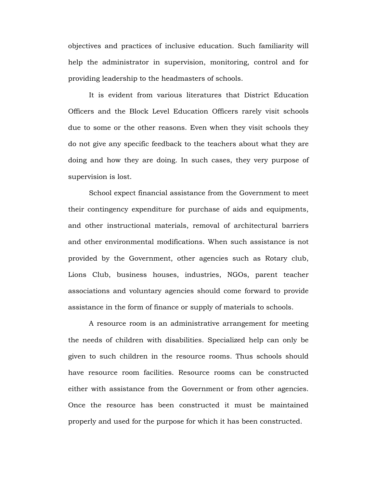objectives and practices of inclusive education. Such familiarity will help the administrator in supervision, monitoring, control and for providing leadership to the headmasters of schools.

It is evident from various literatures that District Education Officers and the Block Level Education Officers rarely visit schools due to some or the other reasons. Even when they visit schools they do not give any specific feedback to the teachers about what they are doing and how they are doing. In such cases, they very purpose of supervision is lost.

School expect financial assistance from the Government to meet their contingency expenditure for purchase of aids and equipments, and other instructional materials, removal of architectural barriers and other environmental modifications. When such assistance is not provided by the Government, other agencies such as Rotary club, Lions Club, business houses, industries, NGOs, parent teacher associations and voluntary agencies should come forward to provide assistance in the form of finance or supply of materials to schools.

A resource room is an administrative arrangement for meeting the needs of children with disabilities. Specialized help can only be given to such children in the resource rooms. Thus schools should have resource room facilities. Resource rooms can be constructed either with assistance from the Government or from other agencies. Once the resource has been constructed it must be maintained properly and used for the purpose for which it has been constructed.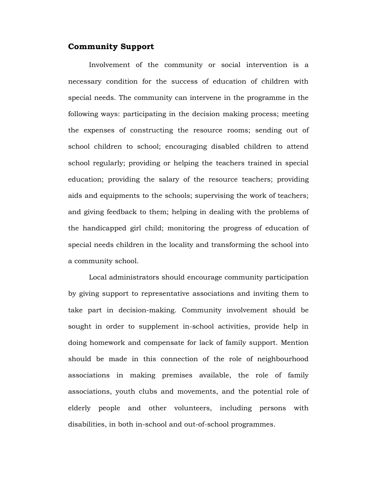# **Community Support**

Involvement of the community or social intervention is a necessary condition for the success of education of children with special needs. The community can intervene in the programme in the following ways: participating in the decision making process; meeting the expenses of constructing the resource rooms; sending out of school children to school; encouraging disabled children to attend school regularly; providing or helping the teachers trained in special education; providing the salary of the resource teachers; providing aids and equipments to the schools; supervising the work of teachers; and giving feedback to them; helping in dealing with the problems of the handicapped girl child; monitoring the progress of education of special needs children in the locality and transforming the school into a community school.

Local administrators should encourage community participation by giving support to representative associations and inviting them to take part in decision-making. Community involvement should be sought in order to supplement in-school activities, provide help in doing homework and compensate for lack of family support. Mention should be made in this connection of the role of neighbourhood associations in making premises available, the role of family associations, youth clubs and movements, and the potential role of elderly people and other volunteers, including persons with disabilities, in both in-school and out-of-school programmes.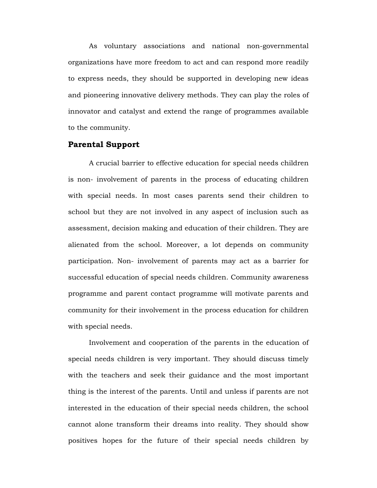As voluntary associations and national non-governmental organizations have more freedom to act and can respond more readily to express needs, they should be supported in developing new ideas and pioneering innovative delivery methods. They can play the roles of innovator and catalyst and extend the range of programmes available to the community.

### **Parental Support**

 A crucial barrier to effective education for special needs children is non- involvement of parents in the process of educating children with special needs. In most cases parents send their children to school but they are not involved in any aspect of inclusion such as assessment, decision making and education of their children. They are alienated from the school. Moreover, a lot depends on community participation. Non- involvement of parents may act as a barrier for successful education of special needs children. Community awareness programme and parent contact programme will motivate parents and community for their involvement in the process education for children with special needs.

Involvement and cooperation of the parents in the education of special needs children is very important. They should discuss timely with the teachers and seek their guidance and the most important thing is the interest of the parents. Until and unless if parents are not interested in the education of their special needs children, the school cannot alone transform their dreams into reality. They should show positives hopes for the future of their special needs children by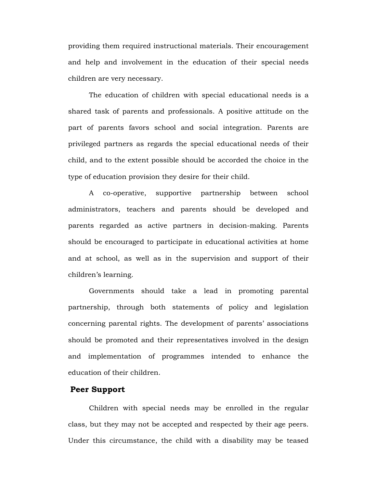providing them required instructional materials. Their encouragement and help and involvement in the education of their special needs children are very necessary.

The education of children with special educational needs is a shared task of parents and professionals. A positive attitude on the part of parents favors school and social integration. Parents are privileged partners as regards the special educational needs of their child, and to the extent possible should be accorded the choice in the type of education provision they desire for their child.

A co-operative, supportive partnership between school administrators, teachers and parents should be developed and parents regarded as active partners in decision-making. Parents should be encouraged to participate in educational activities at home and at school, as well as in the supervision and support of their children's learning.

Governments should take a lead in promoting parental partnership, through both statements of policy and legislation concerning parental rights. The development of parents' associations should be promoted and their representatives involved in the design and implementation of programmes intended to enhance the education of their children.

### **Peer Support**

Children with special needs may be enrolled in the regular class, but they may not be accepted and respected by their age peers. Under this circumstance, the child with a disability may be teased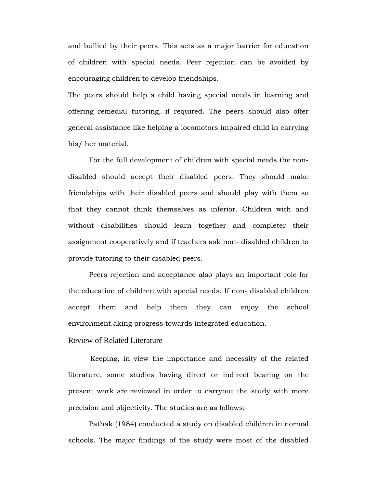and bullied by their peers. This acts as a major barrier for education of children with special needs. Peer rejection can be avoided by encouraging children to develop friendships.

The peers should help a child having special needs in learning and offering remedial tutoring, if required. The peers should also offer general assistance like helping a locomotors impaired child in carrying his/ her material.

For the full development of children with special needs the nondisabled should accept their disabled peers. They should make friendships with their disabled peers and should play with them so that they cannot think themselves as inferior. Children with and without disabilities should learn together and completer their assignment cooperatively and if teachers ask non- disabled children to provide tutoring to their disabled peers.

Peers rejection and acceptance also plays an important role for the education of children with special needs. If non- disabled children accept them and help them they can enjoy the school environment.aking progress towards integrated education.

# Review of Related Literature

 Keeping, in view the importance and necessity of the related literature, some studies having direct or indirect bearing on the present work are reviewed in order to carryout the study with more precision and objectivity. The studies are as follows:

Pathak (1984) conducted a study on disabled children in normal schools. The major findings of the study were most of the disabled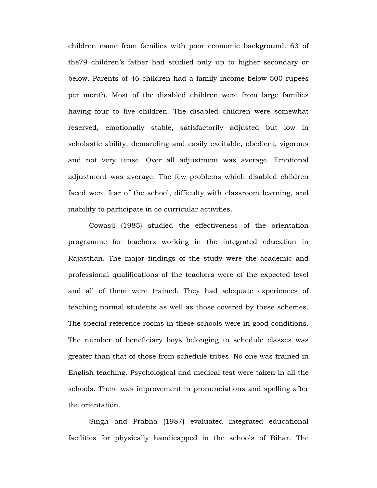children came from families with poor economic background. 63 of the79 children's father had studied only up to higher secondary or below. Parents of 46 children had a family income below 500 rupees per month. Most of the disabled children were from large families having four to five children. The disabled children were somewhat reserved, emotionally stable, satisfactorily adjusted but low in scholastic ability, demanding and easily excitable, obedient, vigorous and not very tense. Over all adjustment was average. Emotional adjustment was average. The few problems which disabled children faced were fear of the school, difficulty with classroom learning, and inability to participate in co curricular activities.

Cowasji (1985) studied the effectiveness of the orientation programme for teachers working in the integrated education in Rajasthan. The major findings of the study were the academic and professional qualifications of the teachers were of the expected level and all of them were trained. They had adequate experiences of teaching normal students as well as those covered by these schemes. The special reference rooms in these schools were in good conditions. The number of beneficiary boys belonging to schedule classes was greater than that of those from schedule tribes. No one was trained in English teaching. Psychological and medical test were taken in all the schools. There was improvement in pronunciations and spelling after the orientation.

Singh and Prabha (1987) evaluated integrated educational facilities for physically handicapped in the schools of Bihar. The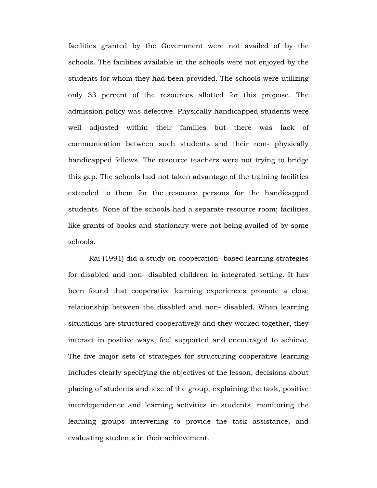facilities granted by the Government were not availed of by the schools. The facilities available in the schools were not enjoyed by the students for whom they had been provided. The schools were utilizing only 33 percent of the resources allotted for this propose. The admission policy was defective. Physically handicapped students were well adjusted within their families but there was lack of communication between such students and their non- physically handicapped fellows. The resource teachers were not trying to bridge this gap. The schools had not taken advantage of the training facilities extended to them for the resource persons for the handicapped students. None of the schools had a separate resource room; facilities like grants of books and stationary were not being availed of by some schools.

Rai (1991) did a study on cooperation- based learning strategies for disabled and non- disabled children in integrated setting. It has been found that cooperative learning experiences promote a close relationship between the disabled and non- disabled. When learning situations are structured cooperatively and they worked together, they interact in positive ways, feel supported and encouraged to achieve. The five major sets of strategies for structuring cooperative learning includes clearly specifying the objectives of the lesson, decisions about placing of students and size of the group, explaining the task, positive interdependence and learning activities in students, monitoring the learning groups intervening to provide the task assistance, and evaluating students in their achievement.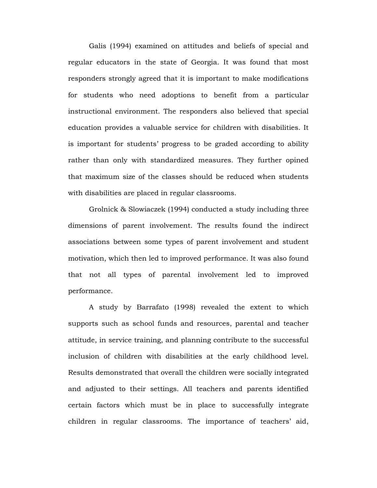Galis (1994) examined on attitudes and beliefs of special and regular educators in the state of Georgia. It was found that most responders strongly agreed that it is important to make modifications for students who need adoptions to benefit from a particular instructional environment. The responders also believed that special education provides a valuable service for children with disabilities. It is important for students' progress to be graded according to ability rather than only with standardized measures. They further opined that maximum size of the classes should be reduced when students with disabilities are placed in regular classrooms.

Grolnick & Slowiaczek (1994) conducted a study including three dimensions of parent involvement. The results found the indirect associations between some types of parent involvement and student motivation, which then led to improved performance. It was also found that not all types of parental involvement led to improved performance.

A study by Barrafato (1998) revealed the extent to which supports such as school funds and resources, parental and teacher attitude, in service training, and planning contribute to the successful inclusion of children with disabilities at the early childhood level. Results demonstrated that overall the children were socially integrated and adjusted to their settings. All teachers and parents identified certain factors which must be in place to successfully integrate children in regular classrooms. The importance of teachers' aid,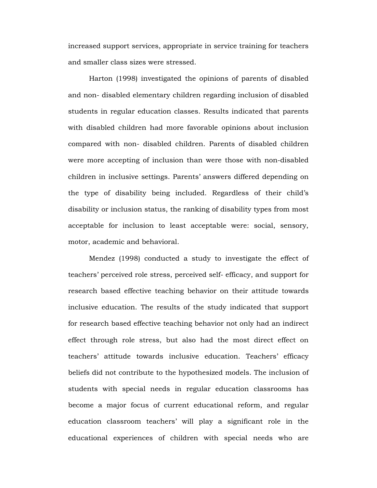increased support services, appropriate in service training for teachers and smaller class sizes were stressed.

Harton (1998) investigated the opinions of parents of disabled and non- disabled elementary children regarding inclusion of disabled students in regular education classes. Results indicated that parents with disabled children had more favorable opinions about inclusion compared with non- disabled children. Parents of disabled children were more accepting of inclusion than were those with non-disabled children in inclusive settings. Parents' answers differed depending on the type of disability being included. Regardless of their child's disability or inclusion status, the ranking of disability types from most acceptable for inclusion to least acceptable were: social, sensory, motor, academic and behavioral.

Mendez (1998) conducted a study to investigate the effect of teachers' perceived role stress, perceived self- efficacy, and support for research based effective teaching behavior on their attitude towards inclusive education. The results of the study indicated that support for research based effective teaching behavior not only had an indirect effect through role stress, but also had the most direct effect on teachers' attitude towards inclusive education. Teachers' efficacy beliefs did not contribute to the hypothesized models. The inclusion of students with special needs in regular education classrooms has become a major focus of current educational reform, and regular education classroom teachers' will play a significant role in the educational experiences of children with special needs who are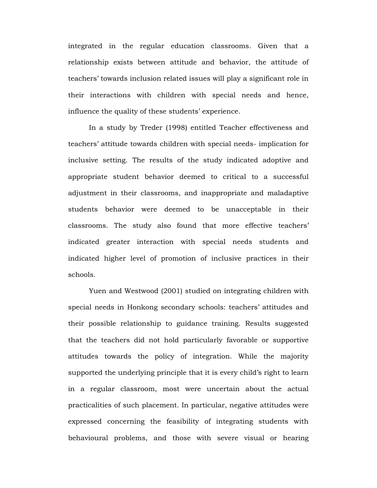integrated in the regular education classrooms. Given that a relationship exists between attitude and behavior, the attitude of teachers' towards inclusion related issues will play a significant role in their interactions with children with special needs and hence, influence the quality of these students' experience.

In a study by Treder (1998) entitled Teacher effectiveness and teachers' attitude towards children with special needs- implication for inclusive setting. The results of the study indicated adoptive and appropriate student behavior deemed to critical to a successful adjustment in their classrooms, and inappropriate and maladaptive students behavior were deemed to be unacceptable in their classrooms. The study also found that more effective teachers' indicated greater interaction with special needs students and indicated higher level of promotion of inclusive practices in their schools.

Yuen and Westwood (2001) studied on integrating children with special needs in Honkong secondary schools: teachers' attitudes and their possible relationship to guidance training. Results suggested that the teachers did not hold particularly favorable or supportive attitudes towards the policy of integration. While the majority supported the underlying principle that it is every child's right to learn in a regular classroom, most were uncertain about the actual practicalities of such placement. In particular, negative attitudes were expressed concerning the feasibility of integrating students with behavioural problems, and those with severe visual or hearing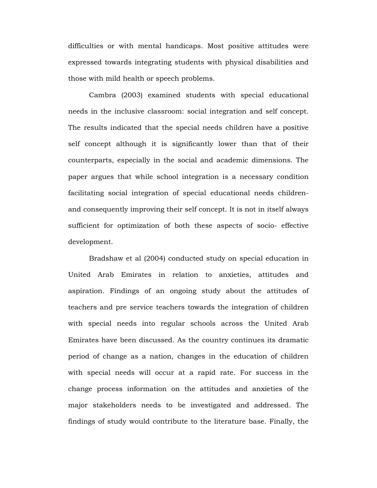difficulties or with mental handicaps. Most positive attitudes were expressed towards integrating students with physical disabilities and those with mild health or speech problems.

Cambra (2003) examined students with special educational needs in the inclusive classroom: social integration and self concept. The results indicated that the special needs children have a positive self concept although it is significantly lower than that of their counterparts, especially in the social and academic dimensions. The paper argues that while school integration is a necessary condition facilitating social integration of special educational needs childrenand consequently improving their self concept. It is not in itself always sufficient for optimization of both these aspects of socio- effective development.

Bradshaw et al (2004) conducted study on special education in United Arab Emirates in relation to anxieties, attitudes and aspiration. Findings of an ongoing study about the attitudes of teachers and pre service teachers towards the integration of children with special needs into regular schools across the United Arab Emirates have been discussed. As the country continues its dramatic period of change as a nation, changes in the education of children with special needs will occur at a rapid rate. For success in the change process information on the attitudes and anxieties of the major stakeholders needs to be investigated and addressed. The findings of study would contribute to the literature base. Finally, the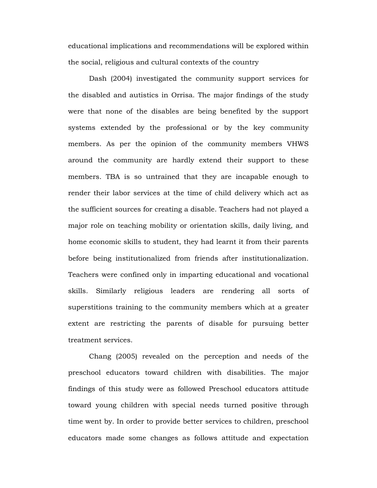educational implications and recommendations will be explored within the social, religious and cultural contexts of the country

Dash (2004) investigated the community support services for the disabled and autistics in Orrisa. The major findings of the study were that none of the disables are being benefited by the support systems extended by the professional or by the key community members. As per the opinion of the community members VHWS around the community are hardly extend their support to these members. TBA is so untrained that they are incapable enough to render their labor services at the time of child delivery which act as the sufficient sources for creating a disable. Teachers had not played a major role on teaching mobility or orientation skills, daily living, and home economic skills to student, they had learnt it from their parents before being institutionalized from friends after institutionalization. Teachers were confined only in imparting educational and vocational skills. Similarly religious leaders are rendering all sorts of superstitions training to the community members which at a greater extent are restricting the parents of disable for pursuing better treatment services.

Chang (2005) revealed on the perception and needs of the preschool educators toward children with disabilities. The major findings of this study were as followed Preschool educators attitude toward young children with special needs turned positive through time went by. In order to provide better services to children, preschool educators made some changes as follows attitude and expectation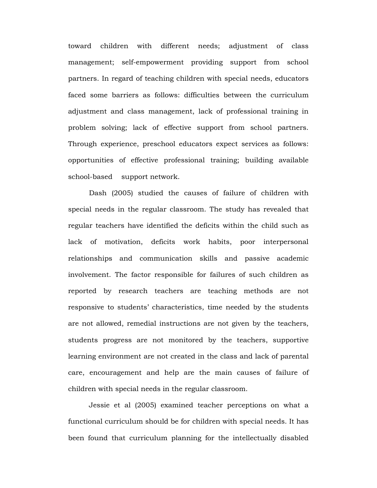toward children with different needs; adjustment of class management; self-empowerment providing support from school partners. In regard of teaching children with special needs, educators faced some barriers as follows: difficulties between the curriculum adjustment and class management, lack of professional training in problem solving; lack of effective support from school partners. Through experience, preschool educators expect services as follows: opportunities of effective professional training; building available school-based support network.

Dash (2005) studied the causes of failure of children with special needs in the regular classroom. The study has revealed that regular teachers have identified the deficits within the child such as lack of motivation, deficits work habits, poor interpersonal relationships and communication skills and passive academic involvement. The factor responsible for failures of such children as reported by research teachers are teaching methods are not responsive to students' characteristics, time needed by the students are not allowed, remedial instructions are not given by the teachers, students progress are not monitored by the teachers, supportive learning environment are not created in the class and lack of parental care, encouragement and help are the main causes of failure of children with special needs in the regular classroom.

Jessie et al (2005) examined teacher perceptions on what a functional curriculum should be for children with special needs. It has been found that curriculum planning for the intellectually disabled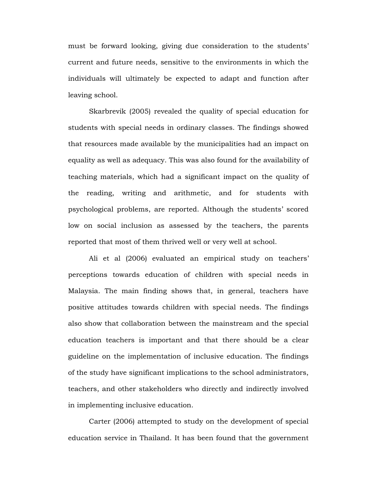must be forward looking, giving due consideration to the students' current and future needs, sensitive to the environments in which the individuals will ultimately be expected to adapt and function after leaving school.

Skarbrevik (2005) revealed the quality of special education for students with special needs in ordinary classes. The findings showed that resources made available by the municipalities had an impact on equality as well as adequacy. This was also found for the availability of teaching materials, which had a significant impact on the quality of the reading, writing and arithmetic, and for students with psychological problems, are reported. Although the students' scored low on social inclusion as assessed by the teachers, the parents reported that most of them thrived well or very well at school.

Ali et al (2006) evaluated an empirical study on teachers' perceptions towards education of children with special needs in Malaysia. The main finding shows that, in general, teachers have positive attitudes towards children with special needs. The findings also show that collaboration between the mainstream and the special education teachers is important and that there should be a clear guideline on the implementation of inclusive education. The findings of the study have significant implications to the school administrators, teachers, and other stakeholders who directly and indirectly involved in implementing inclusive education.

Carter (2006) attempted to study on the development of special education service in Thailand. It has been found that the government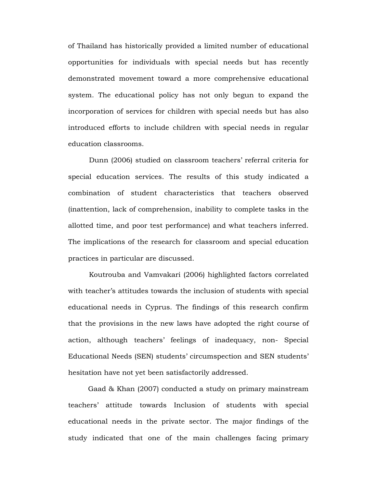of Thailand has historically provided a limited number of educational opportunities for individuals with special needs but has recently demonstrated movement toward a more comprehensive educational system. The educational policy has not only begun to expand the incorporation of services for children with special needs but has also introduced efforts to include children with special needs in regular education classrooms.

Dunn (2006) studied on classroom teachers' referral criteria for special education services. The results of this study indicated a combination of student characteristics that teachers observed (inattention, lack of comprehension, inability to complete tasks in the allotted time, and poor test performance) and what teachers inferred. The implications of the research for classroom and special education practices in particular are discussed.

Koutrouba and Vamvakari (2006) highlighted factors correlated with teacher's attitudes towards the inclusion of students with special educational needs in Cyprus. The findings of this research confirm that the provisions in the new laws have adopted the right course of action, although teachers' feelings of inadequacy, non- Special Educational Needs (SEN) students' circumspection and SEN students' hesitation have not yet been satisfactorily addressed.

 Gaad & Khan (2007) conducted a study on primary mainstream teachers' attitude towards Inclusion of students with special educational needs in the private sector. The major findings of the study indicated that one of the main challenges facing primary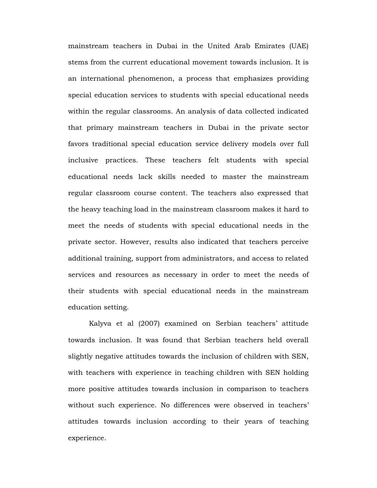mainstream teachers in Dubai in the United Arab Emirates (UAE) stems from the current educational movement towards inclusion. It is an international phenomenon, a process that emphasizes providing special education services to students with special educational needs within the regular classrooms. An analysis of data collected indicated that primary mainstream teachers in Dubai in the private sector favors traditional special education service delivery models over full inclusive practices. These teachers felt students with special educational needs lack skills needed to master the mainstream regular classroom course content. The teachers also expressed that the heavy teaching load in the mainstream classroom makes it hard to meet the needs of students with special educational needs in the private sector. However, results also indicated that teachers perceive additional training, support from administrators, and access to related services and resources as necessary in order to meet the needs of their students with special educational needs in the mainstream education setting.

Kalyva et al (2007) examined on Serbian teachers' attitude towards inclusion. It was found that Serbian teachers held overall slightly negative attitudes towards the inclusion of children with SEN, with teachers with experience in teaching children with SEN holding more positive attitudes towards inclusion in comparison to teachers without such experience. No differences were observed in teachers' attitudes towards inclusion according to their years of teaching experience.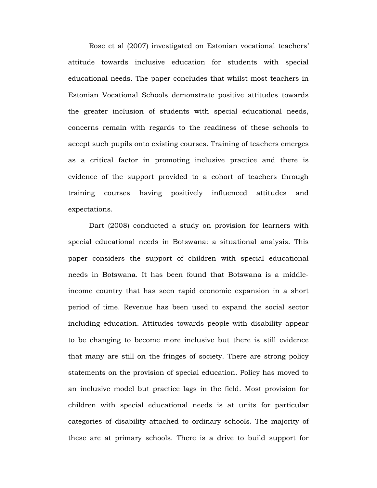Rose et al (2007) investigated on Estonian vocational teachers' attitude towards inclusive education for students with special educational needs. The paper concludes that whilst most teachers in Estonian Vocational Schools demonstrate positive attitudes towards the greater inclusion of students with special educational needs, concerns remain with regards to the readiness of these schools to accept such pupils onto existing courses. Training of teachers emerges as a critical factor in promoting inclusive practice and there is evidence of the support provided to a cohort of teachers through training courses having positively influenced attitudes and expectations.

Dart (2008) conducted a study on provision for learners with special educational needs in Botswana: a situational analysis. This paper considers the support of children with special educational needs in Botswana. It has been found that Botswana is a middleincome country that has seen rapid economic expansion in a short period of time. Revenue has been used to expand the social sector including education. Attitudes towards people with disability appear to be changing to become more inclusive but there is still evidence that many are still on the fringes of society. There are strong policy statements on the provision of special education. Policy has moved to an inclusive model but practice lags in the field. Most provision for children with special educational needs is at units for particular categories of disability attached to ordinary schools. The majority of these are at primary schools. There is a drive to build support for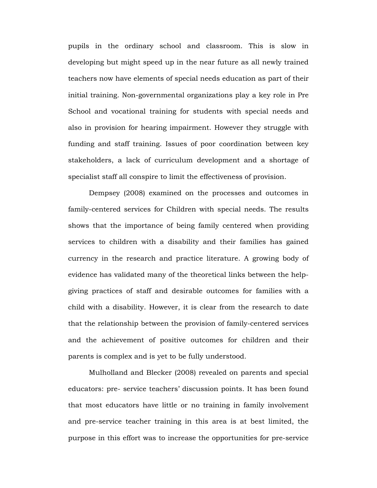pupils in the ordinary school and classroom. This is slow in developing but might speed up in the near future as all newly trained teachers now have elements of special needs education as part of their initial training. Non-governmental organizations play a key role in Pre School and vocational training for students with special needs and also in provision for hearing impairment. However they struggle with funding and staff training. Issues of poor coordination between key stakeholders, a lack of curriculum development and a shortage of specialist staff all conspire to limit the effectiveness of provision.

Dempsey (2008) examined on the processes and outcomes in family-centered services for Children with special needs. The results shows that the importance of being family centered when providing services to children with a disability and their families has gained currency in the research and practice literature. A growing body of evidence has validated many of the theoretical links between the helpgiving practices of staff and desirable outcomes for families with a child with a disability. However, it is clear from the research to date that the relationship between the provision of family-centered services and the achievement of positive outcomes for children and their parents is complex and is yet to be fully understood.

Mulholland and Blecker (2008) revealed on parents and special educators: pre- service teachers' discussion points. It has been found that most educators have little or no training in family involvement and pre-service teacher training in this area is at best limited, the purpose in this effort was to increase the opportunities for pre-service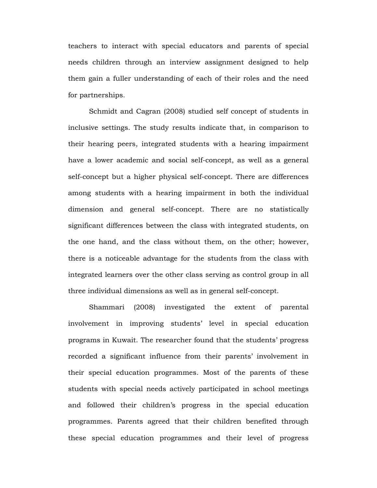teachers to interact with special educators and parents of special needs children through an interview assignment designed to help them gain a fuller understanding of each of their roles and the need for partnerships.

Schmidt and Cagran (2008) studied self concept of students in inclusive settings. The study results indicate that, in comparison to their hearing peers, integrated students with a hearing impairment have a lower academic and social self-concept, as well as a general self-concept but a higher physical self-concept. There are differences among students with a hearing impairment in both the individual dimension and general self-concept. There are no statistically significant differences between the class with integrated students, on the one hand, and the class without them, on the other; however, there is a noticeable advantage for the students from the class with integrated learners over the other class serving as control group in all three individual dimensions as well as in general self-concept.

Shammari (2008) investigated the extent of parental involvement in improving students' level in special education programs in Kuwait. The researcher found that the students' progress recorded a significant influence from their parents' involvement in their special education programmes. Most of the parents of these students with special needs actively participated in school meetings and followed their children's progress in the special education programmes. Parents agreed that their children benefited through these special education programmes and their level of progress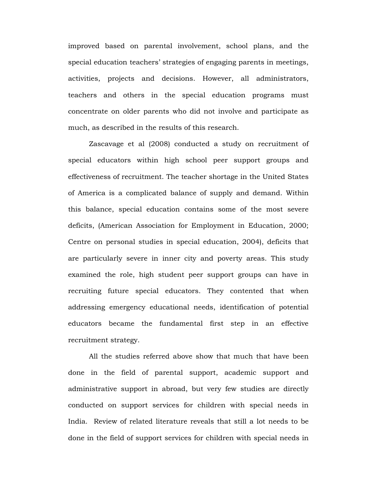improved based on parental involvement, school plans, and the special education teachers' strategies of engaging parents in meetings, activities, projects and decisions. However, all administrators, teachers and others in the special education programs must concentrate on older parents who did not involve and participate as much, as described in the results of this research.

Zascavage et al (2008) conducted a study on recruitment of special educators within high school peer support groups and effectiveness of recruitment. The teacher shortage in the United States of America is a complicated balance of supply and demand. Within this balance, special education contains some of the most severe deficits, (American Association for Employment in Education, 2000; Centre on personal studies in special education, 2004), deficits that are particularly severe in inner city and poverty areas. This study examined the role, high student peer support groups can have in recruiting future special educators. They contented that when addressing emergency educational needs, identification of potential educators became the fundamental first step in an effective recruitment strategy.

All the studies referred above show that much that have been done in the field of parental support, academic support and administrative support in abroad, but very few studies are directly conducted on support services for children with special needs in India. Review of related literature reveals that still a lot needs to be done in the field of support services for children with special needs in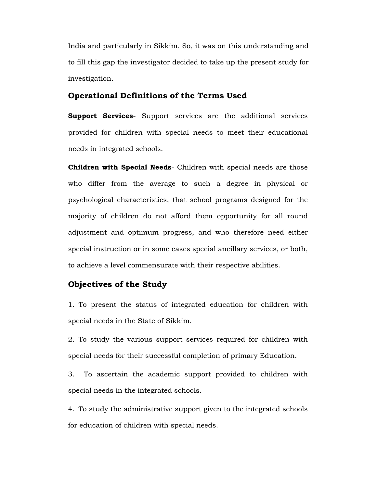India and particularly in Sikkim. So, it was on this understanding and to fill this gap the investigator decided to take up the present study for investigation.

# **Operational Definitions of the Terms Used**

**Support Services**- Support services are the additional services provided for children with special needs to meet their educational needs in integrated schools.

**Children with Special Needs**- Children with special needs are those who differ from the average to such a degree in physical or psychological characteristics, that school programs designed for the majority of children do not afford them opportunity for all round adjustment and optimum progress, and who therefore need either special instruction or in some cases special ancillary services, or both, to achieve a level commensurate with their respective abilities.

# **Objectives of the Study**

1. To present the status of integrated education for children with special needs in the State of Sikkim.

2. To study the various support services required for children with special needs for their successful completion of primary Education.

3. To ascertain the academic support provided to children with special needs in the integrated schools.

4. To study the administrative support given to the integrated schools for education of children with special needs.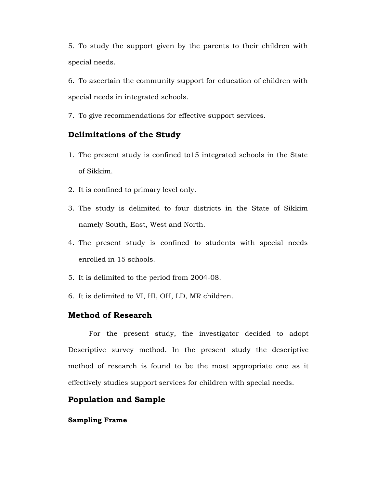5. To study the support given by the parents to their children with special needs.

6. To ascertain the community support for education of children with special needs in integrated schools.

7. To give recommendations for effective support services.

# **Delimitations of the Study**

- 1. The present study is confined to15 integrated schools in the State of Sikkim.
- 2. It is confined to primary level only.
- 3. The study is delimited to four districts in the State of Sikkim namely South, East, West and North.
- 4. The present study is confined to students with special needs enrolled in 15 schools.
- 5. It is delimited to the period from 2004-08.
- 6. It is delimited to VI, HI, OH, LD, MR children.

# **Method of Research**

 For the present study, the investigator decided to adopt Descriptive survey method. In the present study the descriptive method of research is found to be the most appropriate one as it effectively studies support services for children with special needs.

# **Population and Sample**

### **Sampling Frame**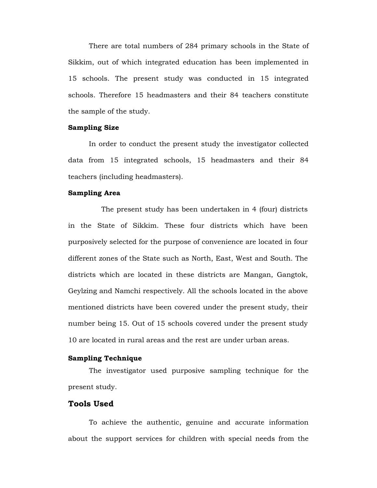There are total numbers of 284 primary schools in the State of Sikkim, out of which integrated education has been implemented in 15 schools. The present study was conducted in 15 integrated schools. Therefore 15 headmasters and their 84 teachers constitute the sample of the study.

#### **Sampling Size**

 In order to conduct the present study the investigator collected data from 15 integrated schools, 15 headmasters and their 84 teachers (including headmasters).

# **Sampling Area**

 The present study has been undertaken in 4 (four) districts in the State of Sikkim. These four districts which have been purposively selected for the purpose of convenience are located in four different zones of the State such as North, East, West and South. The districts which are located in these districts are Mangan, Gangtok, Geylzing and Namchi respectively. All the schools located in the above mentioned districts have been covered under the present study, their number being 15. Out of 15 schools covered under the present study 10 are located in rural areas and the rest are under urban areas.

#### **Sampling Technique**

 The investigator used purposive sampling technique for the present study.

# **Tools Used**

 To achieve the authentic, genuine and accurate information about the support services for children with special needs from the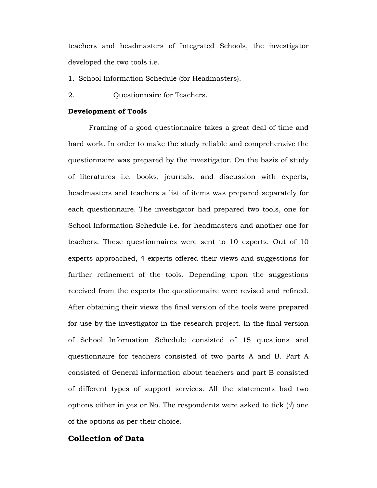teachers and headmasters of Integrated Schools, the investigator developed the two tools i.e.

- 1. School Information Schedule (for Headmasters).
- 2. Questionnaire for Teachers.

#### **Development of Tools**

 Framing of a good questionnaire takes a great deal of time and hard work. In order to make the study reliable and comprehensive the questionnaire was prepared by the investigator. On the basis of study of literatures i.e. books, journals, and discussion with experts, headmasters and teachers a list of items was prepared separately for each questionnaire. The investigator had prepared two tools, one for School Information Schedule i.e. for headmasters and another one for teachers. These questionnaires were sent to 10 experts. Out of 10 experts approached, 4 experts offered their views and suggestions for further refinement of the tools. Depending upon the suggestions received from the experts the questionnaire were revised and refined. After obtaining their views the final version of the tools were prepared for use by the investigator in the research project. In the final version of School Information Schedule consisted of 15 questions and questionnaire for teachers consisted of two parts A and B. Part A consisted of General information about teachers and part B consisted of different types of support services. All the statements had two options either in yes or No. The respondents were asked to tick  $(\vee)$  one of the options as per their choice.

# **Collection of Data**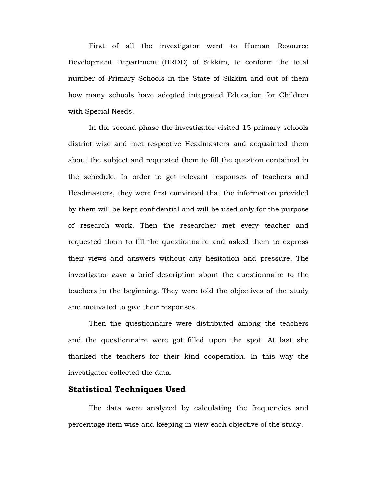First of all the investigator went to Human Resource Development Department (HRDD) of Sikkim, to conform the total number of Primary Schools in the State of Sikkim and out of them how many schools have adopted integrated Education for Children with Special Needs.

 In the second phase the investigator visited 15 primary schools district wise and met respective Headmasters and acquainted them about the subject and requested them to fill the question contained in the schedule. In order to get relevant responses of teachers and Headmasters, they were first convinced that the information provided by them will be kept confidential and will be used only for the purpose of research work. Then the researcher met every teacher and requested them to fill the questionnaire and asked them to express their views and answers without any hesitation and pressure. The investigator gave a brief description about the questionnaire to the teachers in the beginning. They were told the objectives of the study and motivated to give their responses.

 Then the questionnaire were distributed among the teachers and the questionnaire were got filled upon the spot. At last she thanked the teachers for their kind cooperation. In this way the investigator collected the data.

# **Statistical Techniques Used**

 The data were analyzed by calculating the frequencies and percentage item wise and keeping in view each objective of the study.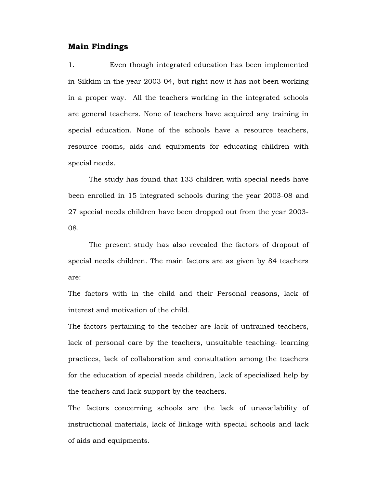# **Main Findings**

1. Even though integrated education has been implemented in Sikkim in the year 2003-04, but right now it has not been working in a proper way. All the teachers working in the integrated schools are general teachers. None of teachers have acquired any training in special education. None of the schools have a resource teachers, resource rooms, aids and equipments for educating children with special needs.

The study has found that 133 children with special needs have been enrolled in 15 integrated schools during the year 2003-08 and 27 special needs children have been dropped out from the year 2003- 08.

The present study has also revealed the factors of dropout of special needs children. The main factors are as given by 84 teachers are:

The factors with in the child and their Personal reasons, lack of interest and motivation of the child.

The factors pertaining to the teacher are lack of untrained teachers, lack of personal care by the teachers, unsuitable teaching- learning practices, lack of collaboration and consultation among the teachers for the education of special needs children, lack of specialized help by the teachers and lack support by the teachers.

The factors concerning schools are the lack of unavailability of instructional materials, lack of linkage with special schools and lack of aids and equipments.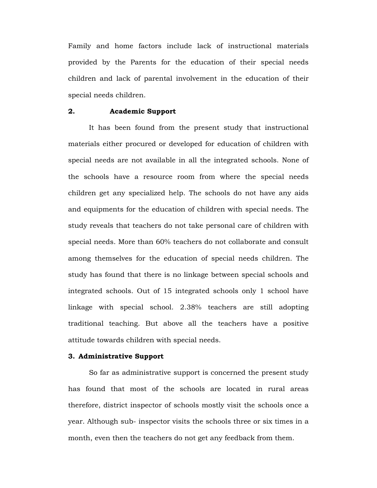Family and home factors include lack of instructional materials provided by the Parents for the education of their special needs children and lack of parental involvement in the education of their special needs children.

### **2. Academic Support**

It has been found from the present study that instructional materials either procured or developed for education of children with special needs are not available in all the integrated schools. None of the schools have a resource room from where the special needs children get any specialized help. The schools do not have any aids and equipments for the education of children with special needs. The study reveals that teachers do not take personal care of children with special needs. More than 60% teachers do not collaborate and consult among themselves for the education of special needs children. The study has found that there is no linkage between special schools and integrated schools. Out of 15 integrated schools only 1 school have linkage with special school. 2.38% teachers are still adopting traditional teaching. But above all the teachers have a positive attitude towards children with special needs.

### **3. Administrative Support**

So far as administrative support is concerned the present study has found that most of the schools are located in rural areas therefore, district inspector of schools mostly visit the schools once a year. Although sub- inspector visits the schools three or six times in a month, even then the teachers do not get any feedback from them.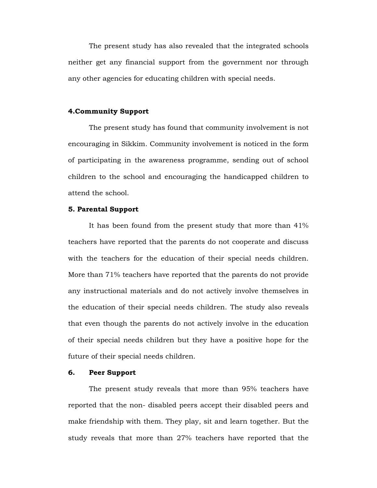The present study has also revealed that the integrated schools neither get any financial support from the government nor through any other agencies for educating children with special needs.

### **4.Community Support**

The present study has found that community involvement is not encouraging in Sikkim. Community involvement is noticed in the form of participating in the awareness programme, sending out of school children to the school and encouraging the handicapped children to attend the school.

#### **5. Parental Support**

It has been found from the present study that more than 41% teachers have reported that the parents do not cooperate and discuss with the teachers for the education of their special needs children. More than 71% teachers have reported that the parents do not provide any instructional materials and do not actively involve themselves in the education of their special needs children. The study also reveals that even though the parents do not actively involve in the education of their special needs children but they have a positive hope for the future of their special needs children.

### **6. Peer Support**

The present study reveals that more than 95% teachers have reported that the non- disabled peers accept their disabled peers and make friendship with them. They play, sit and learn together. But the study reveals that more than 27% teachers have reported that the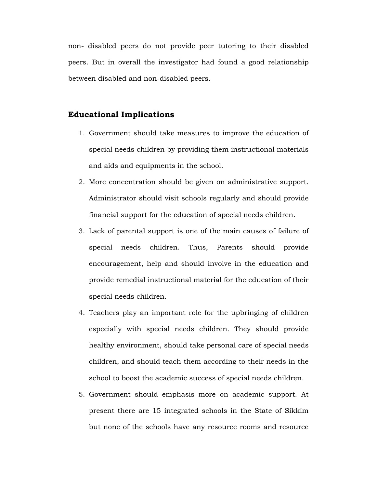non- disabled peers do not provide peer tutoring to their disabled peers. But in overall the investigator had found a good relationship between disabled and non-disabled peers.

# **Educational Implications**

- 1. Government should take measures to improve the education of special needs children by providing them instructional materials and aids and equipments in the school.
- 2. More concentration should be given on administrative support. Administrator should visit schools regularly and should provide financial support for the education of special needs children.
- 3. Lack of parental support is one of the main causes of failure of special needs children. Thus, Parents should provide encouragement, help and should involve in the education and provide remedial instructional material for the education of their special needs children.
- 4. Teachers play an important role for the upbringing of children especially with special needs children. They should provide healthy environment, should take personal care of special needs children, and should teach them according to their needs in the school to boost the academic success of special needs children.
- 5. Government should emphasis more on academic support. At present there are 15 integrated schools in the State of Sikkim but none of the schools have any resource rooms and resource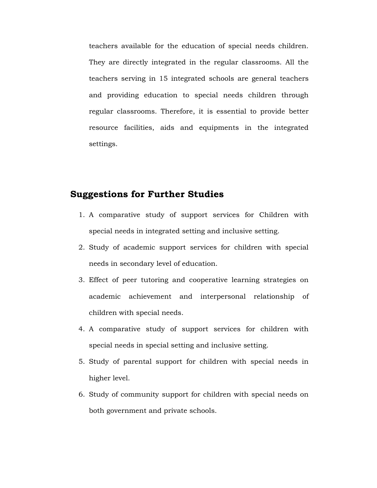teachers available for the education of special needs children. They are directly integrated in the regular classrooms. All the teachers serving in 15 integrated schools are general teachers and providing education to special needs children through regular classrooms. Therefore, it is essential to provide better resource facilities, aids and equipments in the integrated settings.

# **Suggestions for Further Studies**

- 1. A comparative study of support services for Children with special needs in integrated setting and inclusive setting.
- 2. Study of academic support services for children with special needs in secondary level of education.
- 3. Effect of peer tutoring and cooperative learning strategies on academic achievement and interpersonal relationship of children with special needs.
- 4. A comparative study of support services for children with special needs in special setting and inclusive setting.
- 5. Study of parental support for children with special needs in higher level.
- 6. Study of community support for children with special needs on both government and private schools.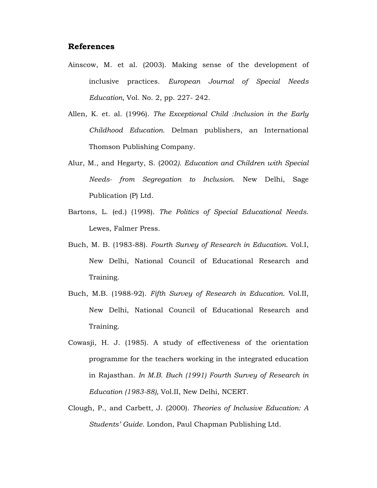# **References**

- Ainscow, M. et al. (2003). Making sense of the development of inclusive practices. *European Journal of Special Needs Education,* Vol. No. 2, pp. 227- 242.
- Allen, K. et. al. (1996). *The Exceptional Child :Inclusion in the Early Childhood Education*. Delman publishers, an International Thomson Publishing Company.
- Alur, M., and Hegarty, S. (2002*). Education and Children with Special Needs- from Segregation to Inclusion*. New Delhi, Sage Publication (P) Ltd.
- Bartons, L. (ed.) (1998). *The Politics of Special Educational Needs*. Lewes, Falmer Press.
- Buch, M. B. (1983-88). *Fourth Survey of Research in Education*. Vol.I, New Delhi, National Council of Educational Research and Training.
- Buch, M.B. (1988-92). *Fifth Survey of Research in Education*. Vol.II, New Delhi, National Council of Educational Research and Training.
- Cowasji, H. J. (1985). A study of effectiveness of the orientation programme for the teachers working in the integrated education in Rajasthan. *In M.B. Buch (1991) Fourth Survey of Research in Education (1983-88),* Vol.II, New Delhi, NCERT.
- Clough, P., and Carbett, J. (2000). *Theories of Inclusive Education: A Students' Guide*. London, Paul Chapman Publishing Ltd.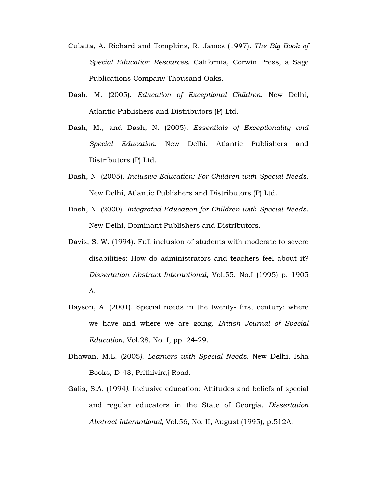- Culatta, A. Richard and Tompkins, R. James (1997). *The Big Book of Special Education Resources*. California, Corwin Press, a Sage Publications Company Thousand Oaks.
- Dash, M. (2005). *Education of Exceptional Children*. New Delhi, Atlantic Publishers and Distributors (P) Ltd.
- Dash, M., and Dash, N. (2005). *Essentials of Exceptionality and Special Education*. New Delhi, Atlantic Publishers and Distributors (P) Ltd.
- Dash, N. (2005). *Inclusive Education: For Children with Special Needs*. New Delhi, Atlantic Publishers and Distributors (P) Ltd.
- Dash, N. (2000). *Integrated Education for Children with Special Needs*. New Delhi, Dominant Publishers and Distributors.
- Davis, S. W. (1994). Full inclusion of students with moderate to severe disabilities: How do administrators and teachers feel about it? *Dissertation Abstract International*, Vol.55, No.I (1995) p. 1905
	- A.
- Dayson, A. (2001). Special needs in the twenty- first century: where we have and where we are going*. British Journal of Special Education*, Vol.28, No. I, pp. 24-29.
- Dhawan, M.L. (2005*). Learners with Special Needs*. New Delhi, Isha Books, D-43, Prithiviraj Road.
- Galis, S.A. (1994*).* Inclusive education: Attitudes and beliefs of special and regular educators in the State of Georgia. *Dissertation Abstract International,* Vol.56, No. II, August (1995), p.512A.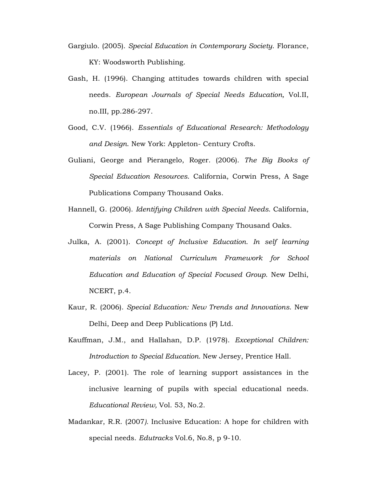- Gargiulo. (2005). *Special Education in Contemporary Society*. Florance, KY: Woodsworth Publishing.
- Gash, H. (1996). Changing attitudes towards children with special needs. *European Journals of Special Needs Education,* Vol.II, no.III, pp.286-297.
- Good, C.V. (1966). *Essentials of Educational Research: Methodology and Design*. New York: Appleton- Century Crofts.
- Guliani, George and Pierangelo, Roger. (2006). *The Big Books of Special Education Resources*. California, Corwin Press, A Sage Publications Company Thousand Oaks.
- Hannell, G. (2006). *Identifying Children with Special Needs*. California, Corwin Press, A Sage Publishing Company Thousand Oaks.
- Julka, A. (2001). *Concept of Inclusive Education. In self learning materials on National Curriculum Framework for School Education and Education of Special Focused Group*. New Delhi, NCERT, p.4.
- Kaur, R. (2006). *Special Education: New Trends and Innovations*. New Delhi, Deep and Deep Publications (P) Ltd.
- Kauffman, J.M., and Hallahan, D.P. (1978). *Exceptional Children: Introduction to Special Education.* New Jersey, Prentice Hall.
- Lacey, P. (2001). The role of learning support assistances in the inclusive learning of pupils with special educational needs. *Educational Review,* Vol. 53, No.2.
- Madankar, R.R. (2007*).* Inclusive Education: A hope for children with special needs. *Edutracks* Vol.6, No.8, p 9-10*.*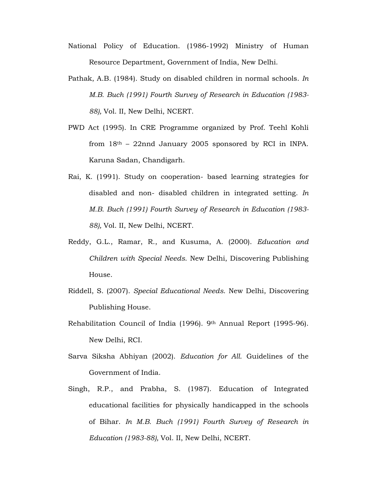- National Policy of Education. (1986-1992) Ministry of Human Resource Department, Government of India, New Delhi.
- Pathak, A.B. (1984). Study on disabled children in normal schools. *In M.B. Buch (1991) Fourth Survey of Research in Education (1983- 88),* Vol. II, New Delhi, NCERT.
- PWD Act (1995). In CRE Programme organized by Prof. Teehl Kohli from  $18<sup>th</sup>$  – 22nnd January 2005 sponsored by RCI in INPA. Karuna Sadan, Chandigarh.
- Rai, K. (1991). Study on cooperation- based learning strategies for disabled and non- disabled children in integrated setting. *In M.B. Buch (1991) Fourth Survey of Research in Education (1983- 88),* Vol. II, New Delhi, NCERT.
- Reddy, G.L., Ramar, R., and Kusuma, A. (2000). *Education and Children with Special Needs*. New Delhi, Discovering Publishing House.
- Riddell, S. (2007). *Special Educational Needs*. New Delhi, Discovering Publishing House.
- Rehabilitation Council of India (1996). 9th Annual Report (1995-96). New Delhi, RCI.
- Sarva Siksha Abhiyan (2002). *Education for All.* Guidelines of the Government of India.
- Singh, R.P., and Prabha, S. (1987). Education of Integrated educational facilities for physically handicapped in the schools of Bihar. *In M.B. Buch (1991) Fourth Survey of Research in Education (1983-88),* Vol. II, New Delhi, NCERT.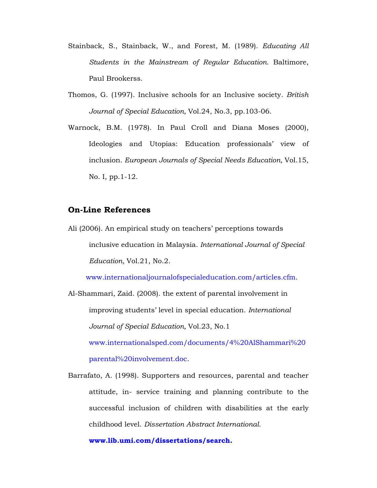- Stainback, S., Stainback, W., and Forest, M. (1989). *Educating All Students in the Mainstream of Regular Education*. Baltimore, Paul Brookerss.
- Thomos, G. (1997). Inclusive schools for an Inclusive society. *British Journal of Special Education,* Vol.24, No.3, pp.103-06.
- Warnock, B.M. (1978). In Paul Croll and Diana Moses (2000), Ideologies and Utopias: Education professionals' view of inclusion. *European Journals of Special Needs Education,* Vol.15, No. I, pp.1-12.

# **On-Line References**

Ali (2006). An empirical study on teachers' perceptions towards inclusive education in Malaysia. *International Journal of Special Education,* Vol.21, No.2.

www.internationaljournalofspecialeducation.com/articles.cfm.

- Al-Shammari, Zaid. (2008). the extent of parental involvement in improving students' level in special education. *International Journal of Special Education,* Vol.23, No.1 www.internationalsped.com/documents/4%20AlShammari%20 parental%20involvement.doc.
- Barrafato, A. (1998). Supporters and resources, parental and teacher attitude, in- service training and planning contribute to the successful inclusion of children with disabilities at the early childhood level. *Dissertation Abstract International.*

**www.lib.umi.com/dissertations/search.**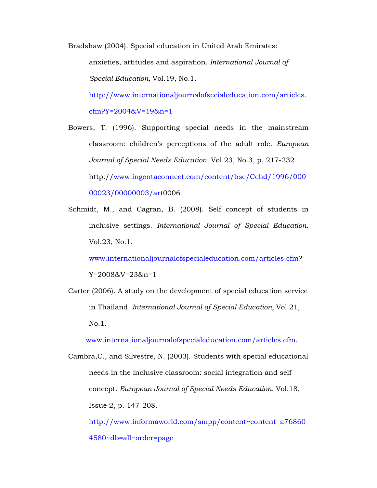Bradshaw (2004). Special education in United Arab Emirates: anxieties, attitudes and aspiration. *International Journal of Special Education,* Vol.19, No.1.

http://www.internationaljournalofsecialeducation.com/articles. cfm?Y=2004&V=19&n=1

Bowers, T. (1996). Supporting special needs in the mainstream classroom: children's perceptions of the adult role. *European Journal of Special Needs Education.* Vol.23, No.3, p. 217-232 http://www.ingentaconnect.com/content/bsc/Cchd/1996/000 00023/00000003/art0006

Schmidt, M., and Cagran, B. (2008). Self concept of students in inclusive settings. *International Journal of Special Education*. Vol.23, No.1.

www.internationaljournalofspecialeducation.com/articles.cfm? Y=2008&V=23&n=1

Carter (2006). A study on the development of special education service in Thailand. *International Journal of Special Education,* Vol.21, No.1.

www.internationaljournalofspecialeducation.com/articles.cfm.

Cambra,C., and Silvestre, N. (2003). Students with special educational needs in the inclusive classroom: social integration and self concept. *European Journal of Special Needs Education.* Vol.18, Issue 2, p. 147-208. http://www.informaworld.com/smpp/content~content=a76860

4580~db=all~order=page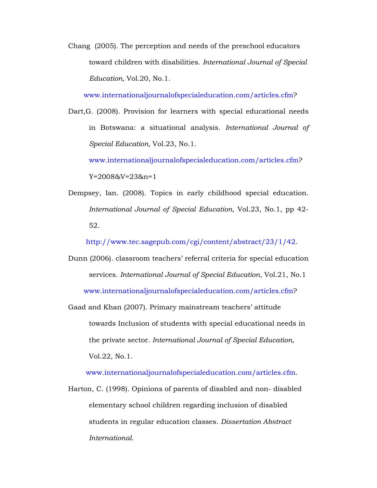Chang (2005). The perception and needs of the preschool educators toward children with disabilities. *International Journal of Special Education,* Vol.20, No.1.

www.internationaljournalofspecialeducation.com/articles.cfm?

Dart,G. (2008). Provision for learners with special educational needs in Botswana: a situational analysis. *International Journal of Special Education,* Vol.23, No.1.

www.internationaljournalofspecialeducation.com/articles.cfm? Y=2008&V=23&n=1

Dempsey, Ian. (2008). Topics in early childhood special education. *International Journal of Special Education*, Vol.23, No.1, pp 42- 52.

http://www.tec.sagepub.com/cgi/content/abstract/23/1/42.

- Dunn (2006). classroom teachers' referral criteria for special education services. *International Journal of Special Education*, Vol.21, No.1 www.internationaljournalofspecialeducation.com/articles.cfm?
- Gaad and Khan (2007). Primary mainstream teachers' attitude towards Inclusion of students with special educational needs in the private sector. *International Journal of Special Education,*  Vol.22, No.1.

www.internationaljournalofspecialeducation.com/articles.cfm.

Harton, C. (1998). Opinions of parents of disabled and non- disabled elementary school children regarding inclusion of disabled students in regular education classes. *Dissertation Abstract International.*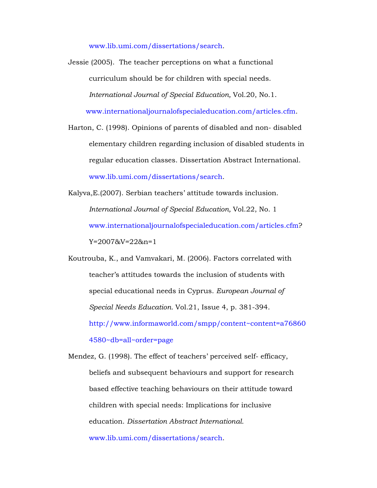www.lib.umi.com/dissertations/search.

Jessie (2005). The teacher perceptions on what a functional curriculum should be for children with special needs. *International Journal of Special Education,* Vol.20, No.1. www.internationaljournalofspecialeducation.com/articles.cfm.

Harton, C. (1998). Opinions of parents of disabled and non- disabled elementary children regarding inclusion of disabled students in regular education classes. Dissertation Abstract International. www.lib.umi.com/dissertations/search.

- Kalyva,E.(2007). Serbian teachers' attitude towards inclusion. *International Journal of Special Education,* Vol.22, No. 1 www.internationaljournalofspecialeducation.com/articles.cfm? Y=2007&V=22&n=1
- Koutrouba, K., and Vamvakari, M. (2006). Factors correlated with teacher's attitudes towards the inclusion of students with special educational needs in Cyprus. *European Journal of Special Needs Education.* Vol.21, Issue 4, p. 381-394. http://www.informaworld.com/smpp/content~content=a76860

4580~db=all~order=page

Mendez, G. (1998). The effect of teachers' perceived self- efficacy, beliefs and subsequent behaviours and support for research based effective teaching behaviours on their attitude toward children with special needs: Implications for inclusive education. *Dissertation Abstract International.*  www.lib.umi.com/dissertations/search.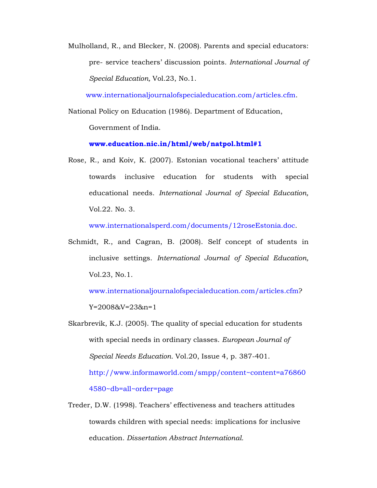Mulholland, R., and Blecker, N. (2008). Parents and special educators: pre- service teachers' discussion points*. International Journal of Special Education,* Vol.23, No.1.

www.internationaljournalofspecialeducation.com/articles.cfm.

National Policy on Education (1986). Department of Education, Government of India.

**www.education.nic.in/html/web/natpol.html#1**

Rose, R., and Koiv, K. (2007). Estonian vocational teachers' attitude towards inclusive education for students with special educational needs. *International Journal of Special Education,*  Vol.22. No. 3.

www.internationalsperd.com/documents/12roseEstonia.doc.

Schmidt, R., and Cagran, B. (2008). Self concept of students in inclusive settings. *International Journal of Special Education,*  Vol.23, No.1.

www.internationaljournalofspecialeducation.com/articles.cfm? Y=2008&V=23&n=1

- Skarbrevik, K.J. (2005). The quality of special education for students with special needs in ordinary classes. *European Journal of Special Needs Education.* Vol.20, Issue 4, p. 387-401. http://www.informaworld.com/smpp/content~content=a76860 4580~db=all~order=page
- Treder, D.W. (1998). Teachers' effectiveness and teachers attitudes towards children with special needs: implications for inclusive education*. Dissertation Abstract International.*